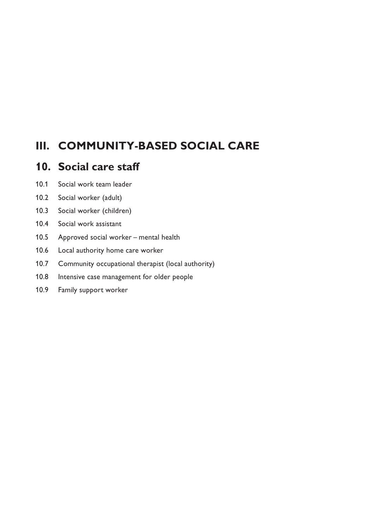# **III. COMMUNITY-BASED SOCIAL CARE**

# **10. Social care staff**

- 10.1 Social work team leader
- 10.2 Social worker (adult)
- 10.3 Social worker (children)
- 10.4 Social work assistant
- 10.5 Approved social worker mental health
- 10.6 Local authority home care worker
- 10.7 Community occupational therapist (local authority)
- 10.8 Intensive case management for older people
- 10.9 Family support worker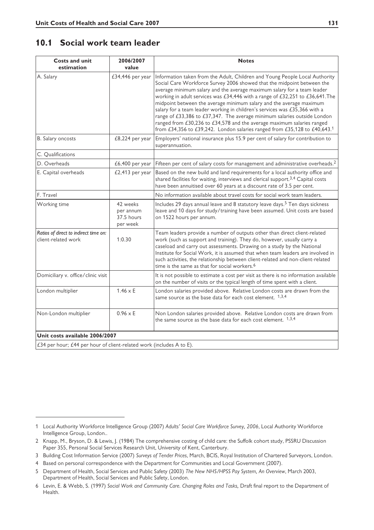# **10.1 Social work team leader**

| <b>Costs and unit</b><br>estimation                                  | 2006/2007<br>value                              | <b>Notes</b>                                                                                                                                                                                                                                                                                                                                                                                                                                                                                                                                                                                                                                                                                              |
|----------------------------------------------------------------------|-------------------------------------------------|-----------------------------------------------------------------------------------------------------------------------------------------------------------------------------------------------------------------------------------------------------------------------------------------------------------------------------------------------------------------------------------------------------------------------------------------------------------------------------------------------------------------------------------------------------------------------------------------------------------------------------------------------------------------------------------------------------------|
| A. Salary                                                            | £34,446 per year                                | Information taken from the Adult, Children and Young People Local Authority<br>Social Care Workforce Survey 2006 showed that the midpoint between the<br>average minimum salary and the average maximum salary for a team leader<br>working in adult services was £34,446 with a range of £32,251 to £36,641. The<br>midpoint between the average minimum salary and the average maximum<br>salary for a team leader working in children's services was £35,366 with a<br>range of £33,386 to £37,347. The average minimum salaries outside London<br>ranged from £30,236 to £34,578 and the average maximum salaries ranged<br>from £34,356 to £39,242. London salaries ranged from £35,128 to £40,643.1 |
| B. Salary oncosts                                                    | £8,224 per year                                 | Employers' national insurance plus 15.9 per cent of salary for contribution to<br>superannuation.                                                                                                                                                                                                                                                                                                                                                                                                                                                                                                                                                                                                         |
| C. Qualifications                                                    |                                                 |                                                                                                                                                                                                                                                                                                                                                                                                                                                                                                                                                                                                                                                                                                           |
| D. Overheads                                                         | £6,400 per year                                 | Fifteen per cent of salary costs for management and administrative overheads. <sup>2</sup>                                                                                                                                                                                                                                                                                                                                                                                                                                                                                                                                                                                                                |
| E. Capital overheads                                                 | £2,413 per year                                 | Based on the new build and land requirements for a local authority office and<br>shared facilities for waiting, interviews and clerical support. <sup>3,4</sup> Capital costs<br>have been annuitised over 60 years at a discount rate of 3.5 per cent.                                                                                                                                                                                                                                                                                                                                                                                                                                                   |
| F. Travel                                                            |                                                 | No information available about travel costs for social work team leaders.                                                                                                                                                                                                                                                                                                                                                                                                                                                                                                                                                                                                                                 |
| Working time                                                         | 42 weeks<br>per annum<br>37.5 hours<br>per week | Includes 29 days annual leave and 8 statutory leave days. <sup>5</sup> Ten days sickness<br>leave and 10 days for study/training have been assumed. Unit costs are based<br>on 1522 hours per annum.                                                                                                                                                                                                                                                                                                                                                                                                                                                                                                      |
| Ratios of direct to indirect time on:<br>client-related work         | 1:0.30                                          | Team leaders provide a number of outputs other than direct client-related<br>work (such as support and training). They do, however, usually carry a<br>caseload and carry out assessments. Drawing on a study by the National<br>Institute for Social Work, it is assumed that when team leaders are involved in<br>such activities, the relationship between client-related and non-client-related<br>time is the same as that for social workers. <sup>6</sup>                                                                                                                                                                                                                                          |
| Domiciliary v. office/clinic visit                                   |                                                 | It is not possible to estimate a cost per visit as there is no information available<br>on the number of visits or the typical length of time spent with a client.                                                                                                                                                                                                                                                                                                                                                                                                                                                                                                                                        |
| London multiplier                                                    | $1.46 \times E$                                 | London salaries provided above. Relative London costs are drawn from the<br>same source as the base data for each cost element. 1,3,4                                                                                                                                                                                                                                                                                                                                                                                                                                                                                                                                                                     |
| Non-London multiplier                                                | $0.96 \times E$                                 | Non London salaries provided above. Relative London costs are drawn from<br>the same source as the base data for each cost element. 1,3,4                                                                                                                                                                                                                                                                                                                                                                                                                                                                                                                                                                 |
| Unit costs available 2006/2007                                       |                                                 |                                                                                                                                                                                                                                                                                                                                                                                                                                                                                                                                                                                                                                                                                                           |
| £34 per hour; £44 per hour of client-related work (includes A to E). |                                                 |                                                                                                                                                                                                                                                                                                                                                                                                                                                                                                                                                                                                                                                                                                           |

<sup>1</sup> Local Authority Workforce Intelligence Group (2007) *Adults' Social Care Workforce Survey, 2006*, Local Authority Workforce Intelligence Group, London..

<sup>2</sup> Knapp, M., Bryson, D. & Lewis, J. (1984) The comprehensive costing of child care: the Suffolk cohort study, PSSRU Discussion Paper 355, Personal Social Services Research Unit, University of Kent, Canterbury.

<sup>3</sup> Building Cost Information Service (2007) *Surveys of Tender Prices*, March, BCIS, Royal Institution of Chartered Surveyors, London.

<sup>4</sup> Based on personal correspondence with the Department for Communities and Local Government (2007).

<sup>5</sup> Department of Health, Social Services and Public Safety (2003) *The New NHS/HPSS Pay System, An Overview*, March 2003, Department of Health, Social Services and Public Safety, London.

<sup>6</sup> Levin, E. & Webb, S. (1997) *Social Work and Community Care. Changing Roles and Tasks,* Draft final report to the Department of Health.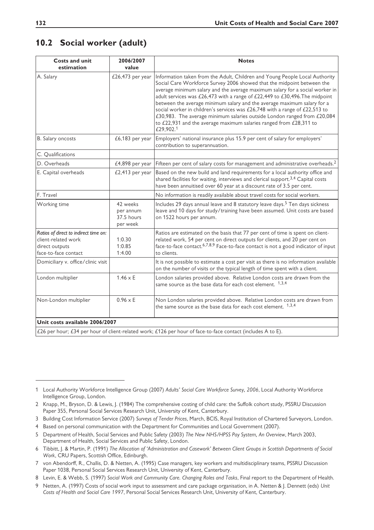# **10.2 Social worker (adult)**

| <b>Costs and unit</b><br>estimation                                                                    | 2006/2007<br>value                              | <b>Notes</b>                                                                                                                                                                                                                                                                                                                                                                                                                                                                                                                                                                                                                                  |
|--------------------------------------------------------------------------------------------------------|-------------------------------------------------|-----------------------------------------------------------------------------------------------------------------------------------------------------------------------------------------------------------------------------------------------------------------------------------------------------------------------------------------------------------------------------------------------------------------------------------------------------------------------------------------------------------------------------------------------------------------------------------------------------------------------------------------------|
| A. Salary                                                                                              | £26,473 per year                                | Information taken from the Adult, Children and Young People Local Authority<br>Social Care Workforce Survey 2006 showed that the midpoint between the<br>average minimum salary and the average maximum salary for a social worker in<br>adult services was £26,473 with a range of £22,449 to £30,496. The midpoint<br>between the average minimum salary and the average maximum salary for a<br>social worker in children's services was £26,748 with a range of £22,513 to<br>£30,983. The average minimum salaries outside London ranged from £20,084<br>to £22,931 and the average maximum salaries ranged from £28,311 to<br>£29,902.1 |
| B. Salary oncosts                                                                                      | $£6,183$ per year                               | Employers' national insurance plus 15.9 per cent of salary for employers'<br>contribution to superannuation.                                                                                                                                                                                                                                                                                                                                                                                                                                                                                                                                  |
| C. Qualifications                                                                                      |                                                 |                                                                                                                                                                                                                                                                                                                                                                                                                                                                                                                                                                                                                                               |
| D. Overheads                                                                                           | $£4,898$ per year                               | Fifteen per cent of salary costs for management and administrative overheads. <sup>2</sup>                                                                                                                                                                                                                                                                                                                                                                                                                                                                                                                                                    |
| E. Capital overheads                                                                                   | $£2,413$ per year                               | Based on the new build and land requirements for a local authority office and<br>shared facilities for waiting, interviews and clerical support. <sup>3,4</sup> Capital costs<br>have been annuitised over 60 year at a discount rate of 3.5 per cent.                                                                                                                                                                                                                                                                                                                                                                                        |
| F. Travel                                                                                              |                                                 | No information is readily available about travel costs for social workers.                                                                                                                                                                                                                                                                                                                                                                                                                                                                                                                                                                    |
| Working time                                                                                           | 42 weeks<br>per annum<br>37.5 hours<br>per week | Includes 29 days annual leave and 8 statutory leave days. <sup>5</sup> Ten days sickness<br>leave and 10 days for study/training have been assumed. Unit costs are based<br>on 1522 hours per annum.                                                                                                                                                                                                                                                                                                                                                                                                                                          |
| Ratios of direct to indirect time on:<br>client-related work<br>direct outputs<br>face-to-face contact | 1:0.30<br>1:0.85<br>1:4.00                      | Ratios are estimated on the basis that 77 per cent of time is spent on client-<br>related work, 54 per cent on direct outputs for clients, and 20 per cent on<br>face-to-face contact. <sup>6,7,8,9</sup> Face-to-face contact is not a good indicator of input<br>to clients.                                                                                                                                                                                                                                                                                                                                                                |
| Domiciliary v. office/clinic visit                                                                     |                                                 | It is not possible to estimate a cost per visit as there is no information available<br>on the number of visits or the typical length of time spent with a client.                                                                                                                                                                                                                                                                                                                                                                                                                                                                            |
| London multiplier                                                                                      | $1.46 \times E$                                 | London salaries provided above. Relative London costs are drawn from the<br>same source as the base data for each cost element. 1,3,4                                                                                                                                                                                                                                                                                                                                                                                                                                                                                                         |
| Non-London multiplier                                                                                  | $0.96 \times E$                                 | Non London salaries provided above. Relative London costs are drawn from<br>the same source as the base data for each cost element. 1,3,4                                                                                                                                                                                                                                                                                                                                                                                                                                                                                                     |
| Unit costs available 2006/2007                                                                         |                                                 |                                                                                                                                                                                                                                                                                                                                                                                                                                                                                                                                                                                                                                               |

 $\pm$ 26 per hour; £34 per hour of client-related work; £126 per hour of face-to-face contact (includes A to E).

4 Based on personal communication with the Department for Communities and Local Government (2007).

<sup>1</sup> Local Authority Workforce Intelligence Group (2007) *Adults' Social Care Workforce Survey, 2006*, Local Authority Workforce Intelligence Group, London.

<sup>2</sup> Knapp, M., Bryson, D. & Lewis, J. (1984) The comprehensive costing of child care: the Suffolk cohort study, PSSRU Discussion Paper 355, Personal Social Services Research Unit, University of Kent, Canterbury.

<sup>3</sup> Building Cost Information Service (2007) *Surveys of Tender Prices*, March, BCIS, Royal Institution of Chartered Surveyors, London.

<sup>5</sup> Department of Health, Social Services and Public Safety (2003) *The New NHS/HPSS Pay System, An Overview*, March 2003, Department of Health, Social Services and Public Safety, London.

<sup>6</sup> Tibbitt, J. & Martin, P. (1991) *The Allocation of 'Administration and Casework' Between Client Groups in Scottish Departments of Social Work*, CRU Papers, Scottish Office, Edinburgh.

<sup>7</sup> von Abendorff, R., Challis, D. & Netten, A. (1995) Case managers, key workers and multidisciplinary teams, PSSRU Discussion Paper 1038, Personal Social Services Research Unit, University of Kent, Canterbury.

<sup>8</sup> Levin, E. & Webb, S. (1997) *Social Work and Community Care. Changing Roles and Tasks*, Final report to the Department of Health.

<sup>9</sup> Netten, A. (1997) Costs of social work input to assessment and care package organisation, in A. Netten & J. Dennett (eds) *Unit Costs of Health and Social Care 1997*, Personal Social Services Research Unit, University of Kent, Canterbury.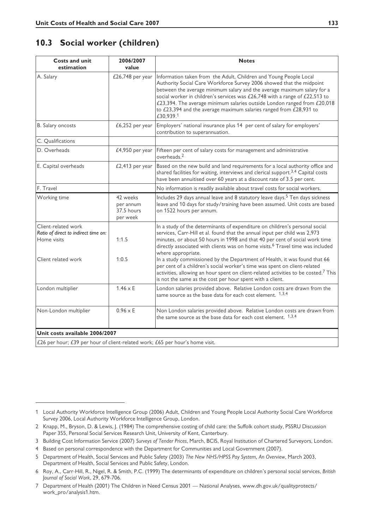# **10.3 Social worker (children)**

| <b>Costs and unit</b><br>estimation                                                               | 2006/2007<br>value                              | <b>Notes</b>                                                                                                                                                                                                                                                                                                                                                                                                                                                                                                           |
|---------------------------------------------------------------------------------------------------|-------------------------------------------------|------------------------------------------------------------------------------------------------------------------------------------------------------------------------------------------------------------------------------------------------------------------------------------------------------------------------------------------------------------------------------------------------------------------------------------------------------------------------------------------------------------------------|
| A. Salary                                                                                         | £26,748 per year                                | Information taken from the Adult, Children and Young People Local<br>Authority Social Care Workforce Survey 2006 showed that the midpoint<br>between the average minimum salary and the average maximum salary for a<br>social worker in children's services was £26,748 with a range of £22,513 to<br>£23,394. The average minimum salaries outside London ranged from £20,018<br>to £23,394 and the average maximum salaries ranged from £28,931 to<br>£30,939.1                                                     |
| B. Salary oncosts                                                                                 | $£6,252$ per year                               | Employers' national insurance plus 14 per cent of salary for employers'<br>contribution to superannuation.                                                                                                                                                                                                                                                                                                                                                                                                             |
| C. Qualifications                                                                                 |                                                 |                                                                                                                                                                                                                                                                                                                                                                                                                                                                                                                        |
| D. Overheads                                                                                      | £4,950 per year                                 | Fifteen per cent of salary costs for management and administrative<br>overheads. <sup>2</sup>                                                                                                                                                                                                                                                                                                                                                                                                                          |
| E. Capital overheads                                                                              | £2,413 per year                                 | Based on the new build and land requirements for a local authority office and<br>shared facilities for waiting, interviews and clerical support. <sup>3,4</sup> Capital costs<br>have been annuitised over 60 years at a discount rate of 3.5 per cent.                                                                                                                                                                                                                                                                |
| F. Travel                                                                                         |                                                 | No information is readily available about travel costs for social workers.                                                                                                                                                                                                                                                                                                                                                                                                                                             |
| Working time                                                                                      | 42 weeks<br>per annum<br>37.5 hours<br>per week | Includes 29 days annual leave and 8 statutory leave days. <sup>5</sup> Ten days sickness<br>leave and 10 days for study/training have been assumed. Unit costs are based<br>on 1522 hours per annum.                                                                                                                                                                                                                                                                                                                   |
| Client-related work<br>Ratio of direct to indirect time on:<br>Home visits<br>Client related work | 1:1.5<br>1:0.5                                  | In a study of the determinants of expenditure on children's personal social<br>services, Carr-Hill et al. found that the annual input per child was 2,973<br>minutes, or about 50 hours in 1998 and that 40 per cent of social work time<br>directly associated with clients was on home visits. <sup>6</sup> Travel time was included<br>where appropriate.<br>In a study commissioned by the Department of Health, it was found that 66<br>per cent of a children's social worker's time was spent on client-related |
|                                                                                                   |                                                 | activities, allowing an hour spent on client-related activities to be costed. <sup>7</sup> This<br>is not the same as the cost per hour spent with a client.                                                                                                                                                                                                                                                                                                                                                           |
| London multiplier                                                                                 | $1.46 \times E$                                 | London salaries provided above. Relative London costs are drawn from the<br>same source as the base data for each cost element. 1,3,4                                                                                                                                                                                                                                                                                                                                                                                  |
| Non-London multiplier                                                                             | $0.96 \times E$                                 | Non London salaries provided above. Relative London costs are drawn from<br>the same source as the base data for each cost element. $1,3,4$                                                                                                                                                                                                                                                                                                                                                                            |
| Unit costs available 2006/2007                                                                    |                                                 |                                                                                                                                                                                                                                                                                                                                                                                                                                                                                                                        |
| $\sim$                                                                                            |                                                 |                                                                                                                                                                                                                                                                                                                                                                                                                                                                                                                        |

£26 per hour; £39 per hour of client-related work; £65 per hour's home visit.

<sup>1</sup> Local Authority Workforce Intelligence Group (2006) Adult, Children and Young People Local Authority Social Care Workforce Survey 2006, Local Authority Workforce Intelligence Group, London.

<sup>2</sup> Knapp, M., Bryson, D. & Lewis, J. (1984) The comprehensive costing of child care: the Suffolk cohort study, PSSRU Discussion Paper 355, Personal Social Services Research Unit, University of Kent, Canterbury.

<sup>3</sup> Building Cost Information Service (2007) *Surveys of Tender Prices*, March, BCIS, Royal Institution of Chartered Surveyors, London.

<sup>4</sup> Based on personal correspondence with the Department for Communities and Local Government (2007).

<sup>5</sup> Department of Health, Social Services and Public Safety (2003) *The New NHS/HPSS Pay System, An Overview*, March 2003, Department of Health, Social Services and Public Safety, London.

<sup>6</sup> Roy, A., Carr-Hill, R., Nigel, R. & Smith, P.C. (1999) The determinants of expenditure on children's personal social services, *British* J*ournal of Social Work*, 29, 679-706.

<sup>7</sup> Department of Health (2001) The Children in Need Census 2001 — National Analyses, www.dh.gov.uk/qualityprotects/ work\_pro/analysis1.htm.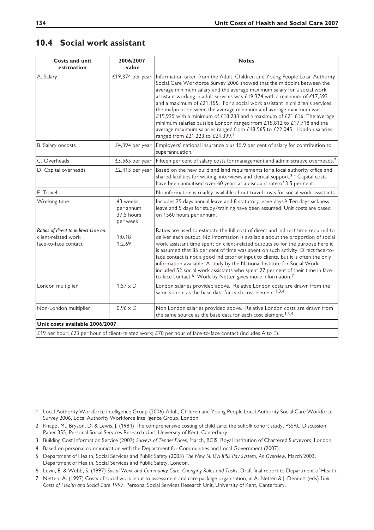# **10.4 Social work assistant**

| <b>Costs and unit</b><br>estimation                                                                                        | 2006/2007<br>value                              | <b>Notes</b>                                                                                                                                                                                                                                                                                                                                                                                                                                                                                                                                                                                                                                                                                                                            |
|----------------------------------------------------------------------------------------------------------------------------|-------------------------------------------------|-----------------------------------------------------------------------------------------------------------------------------------------------------------------------------------------------------------------------------------------------------------------------------------------------------------------------------------------------------------------------------------------------------------------------------------------------------------------------------------------------------------------------------------------------------------------------------------------------------------------------------------------------------------------------------------------------------------------------------------------|
| A. Salary                                                                                                                  | £19,374 per year                                | Information taken from the Adult, Children and Young People Local Authority<br>Social Care Workforce Survey 2006 showed that the midpoint between the<br>average minimum salary and the average maximum salary for a social work<br>assistant working in adult services was £19,374 with a minimum of £17,593<br>and a maximum of £21,155. For a social work assistant in children's services,<br>the midpoint between the average minimum and average maximum was<br>£19,925 with a minimum of £18,233 and a maximum of £21,616. The average<br>minimum salaries outside London ranged from £15,812 to £17,718 and the<br>average maximum salaries ranged from £18,965 to £22,045. London salaries<br>ranged from £21,223 to £24,399.1 |
| B. Salary oncosts                                                                                                          | £4,394 per year                                 | Employers' national insurance plus 15.9 per cent of salary for contribution to<br>superannuation.                                                                                                                                                                                                                                                                                                                                                                                                                                                                                                                                                                                                                                       |
| C. Overheads                                                                                                               | $£3,565$ per year                               | Fifteen per cent of salary costs for management and administrative overheads. <sup>2</sup>                                                                                                                                                                                                                                                                                                                                                                                                                                                                                                                                                                                                                                              |
| D. Capital overheads                                                                                                       | $£2,413$ per year                               | Based on the new build and land requirements for a local authority office and<br>shared facilities for waiting, interviews and clerical support. <sup>3,4</sup> Capital costs<br>have been annuitised over 60 years at a discount rate of 3.5 per cent.                                                                                                                                                                                                                                                                                                                                                                                                                                                                                 |
| E. Travel                                                                                                                  |                                                 | No information is readily available about travel costs for social work assistants.                                                                                                                                                                                                                                                                                                                                                                                                                                                                                                                                                                                                                                                      |
| Working time                                                                                                               | 43 weeks<br>per annum<br>37.5 hours<br>per week | Includes 29 days annual leave and 8 statutory leave days. <sup>5</sup> Ten days sickness<br>leave and 5 days for study/training have been assumed. Unit costs are based<br>on 1560 hours per annum.                                                                                                                                                                                                                                                                                                                                                                                                                                                                                                                                     |
| Ratios of direct to indirect time on:<br>client-related work<br>face-to-face contact                                       | 1:0.18<br>1:2.69                                | Ratios are used to estimate the full cost of direct and indirect time required to<br>deliver each output. No information is available about the proportion of social<br>work assistant time spent on client-related outputs so for the purpose here it<br>is assumed that 85 per cent of time was spent on such activity. Direct face-to-<br>face contact is not a good indicator of input to clients, but it is often the only<br>information available. A study by the National Institute for Social Work<br>included 52 social work assistants who spent 27 per cent of their time in face-<br>to-face contact. <sup>6</sup> Work by Netten gives more information. <sup>7</sup>                                                     |
| London multiplier                                                                                                          | $1.57 \times D$                                 | London salaries provided above. Relative London costs are drawn from the<br>same source as the base data for each cost element. <sup>1,3,4</sup>                                                                                                                                                                                                                                                                                                                                                                                                                                                                                                                                                                                        |
| Non-London multiplier                                                                                                      | $0.96 \times D$                                 | Non London salaries provided above. Relative London costs are drawn from<br>the same source as the base data for each cost element. <sup>1,3,4</sup>                                                                                                                                                                                                                                                                                                                                                                                                                                                                                                                                                                                    |
| Unit costs available 2006/2007                                                                                             |                                                 |                                                                                                                                                                                                                                                                                                                                                                                                                                                                                                                                                                                                                                                                                                                                         |
| $f19$ per hour: $f23$ per hour of client related work: $f70$ per hour of face to face contact (includes $\Lambda$ to $F$ ) |                                                 |                                                                                                                                                                                                                                                                                                                                                                                                                                                                                                                                                                                                                                                                                                                                         |

 $|$  £19 per hour; £23 per hour of client-related work; £70 per hour of face-to-face contact (includes A to E).

<sup>1</sup> Local Authority Workforce Intelligence Group (2006) Adult, Children and Young People Local Authority Social Care Workforce Survey 2006, Local Authority Workforce Intelligence Group, London.

<sup>2</sup> Knapp, M., Bryson, D. & Lewis, J. (1984) The comprehensive costing of child care: the Suffolk cohort study, PSSRU Discussion Paper 355, Personal Social Services Research Unit, University of Kent, Canterbury.

<sup>3</sup> Building Cost Information Service (2007) *Surveys of Tender Prices*, March, BCIS, Royal Institution of Chartered Surveyors, London.

<sup>4</sup> Based on personal communication with the Department for Communities and Local Government (2007).

<sup>5</sup> Department of Health, Social Services and Public Safety (2003) *The New NHS/HPSS Pay System, An Overview*, March 2003, Department of Health, Social Services and Public Safety, London.

<sup>6</sup> Levin, E. & Webb, S. (1997) *Social Work and Community Care. Changing Roles and Tasks*, Draft final report to Department of Health.

<sup>7</sup> Netten, A. (1997) Costs of social work input to assessment and care package organisation, in A. Netten & J. Dennett (eds) *Unit Costs of Health and Social Care 1997*, Personal Social Services Research Unit, University of Kent, Canterbury.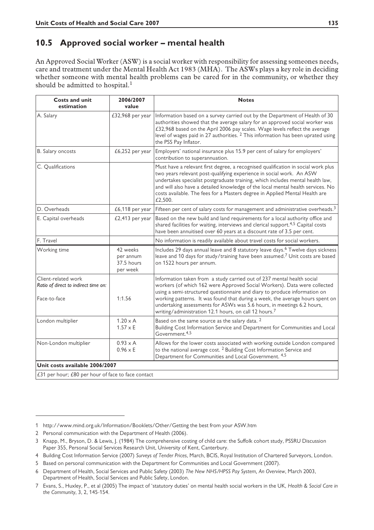#### **10.5 Approved social worker – mental health**

An Approved Social Worker (ASW) is a social worker with responsibility for assessing someones needs, care and treatment under the Mental Health Act 1983 (MHA). The ASWs plays a key role in deciding whether someone with mental health problems can be cared for in the community, or whether they should be admitted to hospital.<sup>1</sup>

| <b>Costs and unit</b><br>estimation                                         | 2006/2007<br>value                              | <b>Notes</b>                                                                                                                                                                                                                                                                                                                                                                                                                                                    |
|-----------------------------------------------------------------------------|-------------------------------------------------|-----------------------------------------------------------------------------------------------------------------------------------------------------------------------------------------------------------------------------------------------------------------------------------------------------------------------------------------------------------------------------------------------------------------------------------------------------------------|
| A. Salary                                                                   | £32,968 per year                                | Information based on a survey carried out by the Department of Health of 30<br>authorities showed that the average salary for an approved social worker was<br>£32,968 based on the April 2006 pay scales. Wage levels reflect the average<br>level of wages paid in 27 authorities. <sup>2</sup> This information has been uprated using<br>the PSS Pay Inflator.                                                                                              |
| B. Salary oncosts                                                           | £6,252 per year                                 | Employers' national insurance plus 15.9 per cent of salary for employers'<br>contribution to superannuation.                                                                                                                                                                                                                                                                                                                                                    |
| C. Qualifications                                                           |                                                 | Must have a relevant first degree, a recognised qualification in social work plus<br>two years relevant post-qualifying experience in social work. An ASW<br>undertakes specialist postgraduate training, which includes mental health law,<br>and will also have a detailed knowledge of the local mental health services. No<br>costs available. The fees for a Masters degree in Applied Mental Health are<br>£2,500.                                        |
| D. Overheads                                                                | £6,118 per year                                 | Fifteen per cent of salary costs for management and administrative overheads. <sup>3</sup>                                                                                                                                                                                                                                                                                                                                                                      |
| E. Capital overheads                                                        | £2,413 per year                                 | Based on the new build and land requirements for a local authority office and<br>shared facilities for waiting, interviews and clerical support. <sup>4,5</sup> Capital costs<br>have been annuitised over 60 years at a discount rate of 3.5 per cent.                                                                                                                                                                                                         |
| F. Travel                                                                   |                                                 | No information is readily available about travel costs for social workers.                                                                                                                                                                                                                                                                                                                                                                                      |
| Working time                                                                | 42 weeks<br>per annum<br>37.5 hours<br>per week | Includes 29 days annual leave and 8 statutory leave days. <sup>6</sup> Twelve days sickness<br>leave and 10 days for study/training have been assumed. <sup>7</sup> Unit costs are based<br>on 1522 hours per annum.                                                                                                                                                                                                                                            |
| Client-related work<br>Ratio of direct to indirect time on:<br>Face-to-face | 1:1.56                                          | Information taken from a study carried out of 237 mental health social<br>workers (of which 162 were Approved Social Workers). Data were collected<br>using a semi-structured questionnaire and diary to produce information on<br>working patterns. It was found that during a week, the average hours spent on<br>undertaking assessments for ASWs was 5.6 hours, in meetings 6.2 hours,<br>writing/administration 12.1 hours, on call 12 hours. <sup>7</sup> |
| London multiplier                                                           | $1.20 \times A$<br>$1.57 \times E$              | Based on the same source as the salary data. <sup>2</sup><br>Building Cost Information Service and Department for Communities and Local<br>Government. <sup>4,5</sup>                                                                                                                                                                                                                                                                                           |
| Non-London multiplier                                                       | $0.93 \times A$<br>$0.96 \times E$              | Allows for the lower costs associated with working outside London compared<br>to the national average cost. <sup>2</sup> Building Cost Information Service and<br>Department for Communities and Local Government. 4,5                                                                                                                                                                                                                                          |
| Unit costs available 2006/2007                                              |                                                 |                                                                                                                                                                                                                                                                                                                                                                                                                                                                 |
| (31 per hour: (80 per hour of face to face contact                          |                                                 |                                                                                                                                                                                                                                                                                                                                                                                                                                                                 |

£31 per hour; £80 per hour of face to face contact

<sup>1</sup> http://www.mind.org.uk/Information/Booklets/Other/Getting the best from your ASW.htm

<sup>2</sup> Personal communication with the Department of Health (2006).

<sup>3</sup> Knapp, M., Bryson, D. & Lewis, J. (1984) The comprehensive costing of child care: the Suffolk cohort study, PSSRU Discussion Paper 355, Personal Social Services Research Unit, University of Kent, Canterbury.

<sup>4</sup> Building Cost Information Service (2007) *Surveys of Tender Prices*, March, BCIS, Royal Institution of Chartered Surveyors, London.

<sup>5</sup> Based on personal communication with the Department for Communities and Local Government (2007).

<sup>6</sup> Department of Health, Social Services and Public Safety (2003) *The New NHS/HPSS Pay System, An Overview*, March 2003, Department of Health, Social Services and Public Safety, London.

<sup>7</sup> Evans, S., Huxley, P., et al (2005) The impact of 'statutory duties' on mental health social workers in the UK, *Health & Social Care in the Community*, 3, 2, 145-154.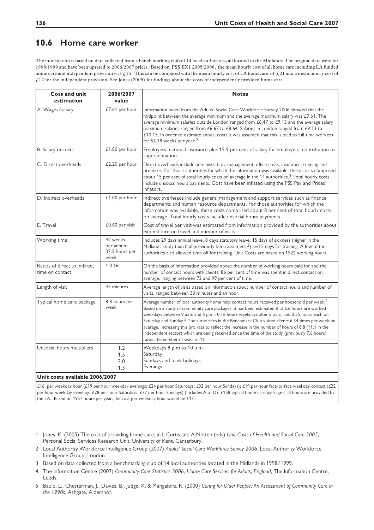#### **10.6 Home care worker**

The information is based on data collected from a bench marking club of 14 local authorities, all located in the Midlands. The original data were for 1998/1999 and have been uprated to 2006/2007 prices. Based on PSS EX1 2005/2006, the mean hourly cost of all home care including LA funded home care and independent provision was  $f<sub>15</sub>$ . This can be compared with the mean hourly cost of LA homecare of  $f<sub>21</sub>$  and a mean hourly cost of £12 for the independent provision. See Jones (2005) for findings about the costs of independently provided home care.

| <b>Coss and unit</b><br>estimation               | 2006/2007<br>value                              | <b>Notes</b>                                                                                                                                                                                                                                                                                                                                                                                                                                                                                                                                                                                                                                                               |
|--------------------------------------------------|-------------------------------------------------|----------------------------------------------------------------------------------------------------------------------------------------------------------------------------------------------------------------------------------------------------------------------------------------------------------------------------------------------------------------------------------------------------------------------------------------------------------------------------------------------------------------------------------------------------------------------------------------------------------------------------------------------------------------------------|
| A. Wages/salary                                  | £7.61 per hour                                  | Information taken from the Adults' Social Care Workforce Survey 2006 showed that the<br>midpoint between the average minimum and the average maximum salary was $£7.61$ . The<br>average minimum salaries outside London ranged from £6.47 to £9.13 and the average salary<br>maximum salaries ranged from £6.67 to £8.64. Salaries in London ranged from £9.13 to<br>£10.15. In order to estimate annual costs it was assumed that this is paid to full-time workers<br>for 52.18 weeks per year. <sup>2</sup>                                                                                                                                                            |
| B. Salary oncosts                                | £1.80 per hour                                  | Employers' national insurance plus 15.9 per cent of salary for employers' contribution to<br>superannuation.                                                                                                                                                                                                                                                                                                                                                                                                                                                                                                                                                               |
| C. Direct overheads                              | £2.20 per hour                                  | Direct overheads include administration, management, office costs, insurance, training and<br>premises. For those authorities for which the information was available, these costs comprised<br>about 15 per cent of total hourly costs on average in the 14 authorities. <sup>3</sup> Total hourly costs<br>include unsocial hours payments. Cost have been inflated using the PSS Pay and Prices<br>inflators.                                                                                                                                                                                                                                                           |
| D. Indirect overheads                            | £1.00 per hour                                  | Indirect overheads include general management and support services such as finance<br>departments and human resource departments. For those authorities for which the<br>information was available, these costs comprised about 8 per cent of total hourly costs<br>on average. Total hourly costs include unsocial hours payments.                                                                                                                                                                                                                                                                                                                                        |
| E. Travel                                        | £0.60 per visit                                 | Cost of travel per visit was estimated from information provided by the authorities about<br>expenditure on travel and number of visits.                                                                                                                                                                                                                                                                                                                                                                                                                                                                                                                                   |
| Working time                                     | 42 weeks<br>per annum<br>37.5 hours per<br>week | Includes 29 days annual leave, 8 days statutory leave, 15 days of sickness (higher in the<br>Midlands study than had previously been assumed, $3$ ) and 5 days for training. A few of the<br>authorities also allowed time off for training. Unit Costs are based on 1522 working hours.                                                                                                                                                                                                                                                                                                                                                                                   |
| Ratios of direct to indirect<br>time on contact: | 1:0.16                                          | On the basis of information provided about the number of working hours paid for and the<br>number of contact hours with clients, 86 per cent of time was spent in direct contact on<br>average, ranging between 72 and 99 per cent of time.                                                                                                                                                                                                                                                                                                                                                                                                                                |
| Length of visit                                  | 45 minutes                                      | Average length of visits based on information about number of contact hours and number of<br>visits, ranged between 33 minutes and an hour.                                                                                                                                                                                                                                                                                                                                                                                                                                                                                                                                |
| Typical home care package                        | 8.8 hours per<br>week                           | Average number of local authority home help contact hours received per household per week. <sup>4</sup><br>Based on a study of community care packages, it has been estimated that 6.6 hours are worked<br>weekdays between 9 a.m. and 5 p.m., 0.16 hours weekdays after 5 p.m., and 0.55 hours each on<br>Saturday and Sunday. <sup>5</sup> The authorities in the Benchmark Club visited clients 6.34 times per week on<br>average. Increasing this pro rata to reflect the increase in the number of hours of 8.8 (11.1 in the<br>independent sector) which are being received since the time of the study (previously 7.6 hours)<br>raises the number of visits to 11. |
| Unsocial hours multipliers                       | 1.2<br>1.5<br>2.0<br>1.3                        | Weekdays 8 p.m to 10 p.m<br>Saturday<br>Sundays and bank holidays<br>Evenings                                                                                                                                                                                                                                                                                                                                                                                                                                                                                                                                                                                              |
| Unit costs available 2006/2007                   |                                                 |                                                                                                                                                                                                                                                                                                                                                                                                                                                                                                                                                                                                                                                                            |

£16 per weekday hour (£19 per hour weekday evenings; £24 per hour Saturdays; £32 per hour Sundays); £19 per hour face-to-face weekday contact (£22 per hour weekday evenings; £28 per hour Saturdays; £37 per hour Sundays) (Includes A to D). £158 typical home care package if all hours are provided by the LA. Based on 1957 hours per year, the cost per weekday hour would be £13.

<sup>1</sup> Jones, K. (2005) The cost of providing home care, in L.Curtis and A.Netten (eds) *Unit Costs of Health and Social Care 2005*, Personal Social Services Research Unit, University of Kent, Canterbury.

<sup>2</sup> Local Authority Workforce Intelligence Group (2007) *Adults' Social Care Workforce Survey 2006*, Local Authority Workforce Intelligence Group, London.

<sup>3</sup> Based on data collected from a benchmarking club of 14 local authorities located in the Midlands in 1998/1999.

<sup>4</sup> The Information Centre (2007) *Community Care Statistics 2006, Home Care Services for Adults, England*, The Information Centre, Leeds.

<sup>5</sup> Bauld, L., Chesterman, J., Davies, B., Judge, K. & Mangalore, R. (2000) *Caring for Older People: An Assessment of Community Care in the 1990s*, Ashgate, Aldershot.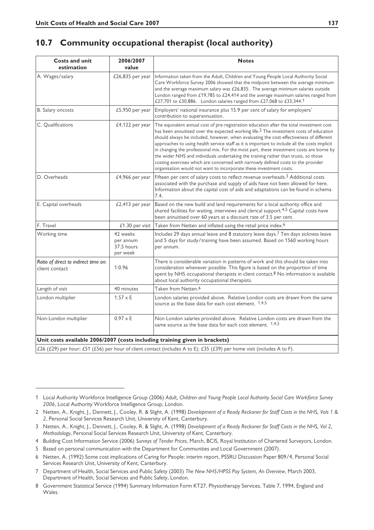# **10.7 Community occupational therapist (local authority)**

| <b>Costs and unit</b><br>estimation                                                                                                                                                                    | 2006/2007<br>value                              | <b>Notes</b>                                                                                                                                                                                                                                                                                                                                                                                                                                                                                                                                                                                                                                                                                                                             |
|--------------------------------------------------------------------------------------------------------------------------------------------------------------------------------------------------------|-------------------------------------------------|------------------------------------------------------------------------------------------------------------------------------------------------------------------------------------------------------------------------------------------------------------------------------------------------------------------------------------------------------------------------------------------------------------------------------------------------------------------------------------------------------------------------------------------------------------------------------------------------------------------------------------------------------------------------------------------------------------------------------------------|
| A. Wages/salary                                                                                                                                                                                        | £26,835 per year                                | Information taken from the Adult, Children and Young People Local Authority Social<br>Care Workforce Survey 2006 showed that the midpoint between the average minimum<br>and the average maximum salary was $£26,835$ . The average minimum salaries outside<br>London ranged from £19,785 to £24,414 and the average maximum salaries ranged from<br>£27,701 to £30,886. London salaries ranged from £27,068 to £33,344.1                                                                                                                                                                                                                                                                                                               |
| B. Salary oncosts                                                                                                                                                                                      | £5,950 per year                                 | Employers' national insurance plus 15.9 per cent of salary for employers'<br>contribution to superannuation.                                                                                                                                                                                                                                                                                                                                                                                                                                                                                                                                                                                                                             |
| C. Qualifications                                                                                                                                                                                      | £4,122 per year                                 | The equivalent annual cost of pre-registration education after the total investment cost<br>has been annuitised over the expected working life. <sup>2</sup> The investment costs of education<br>should always be included, however, when evaluating the cost-effectiveness of different<br>approaches to using health service staff as it is important to include all the costs implicit<br>in changing the professional mix. For the most part, these investment costs are borne by<br>the wider NHS and individuals undertaking the training rather than trusts, so those<br>costing exercises which are concerned with narrowly defined costs to the provider<br>organisation would not want to incorporate these investment costs. |
| D. Overheads                                                                                                                                                                                           | £4,966 per year                                 | Fifteen per cent of salary costs to reflect revenue overheads. <sup>3</sup> Additional costs<br>associated with the purchase and supply of aids have not been allowed for here.<br>Information about the capital cost of aids and adaptations can be found in schema<br>7.4.                                                                                                                                                                                                                                                                                                                                                                                                                                                             |
| E. Capital overheads                                                                                                                                                                                   | £2,413 per year                                 | Based on the new build and land requirements for a local authority office and<br>shared facilities for waiting, interviews and clerical support. <sup>4,5</sup> Capital costs have<br>been annuitised over 60 years at a discount rate of 3.5 per cent.                                                                                                                                                                                                                                                                                                                                                                                                                                                                                  |
| F. Travel                                                                                                                                                                                              | £1.30 per visit                                 | Taken from Netten and inflated using the retail price index. <sup>6</sup>                                                                                                                                                                                                                                                                                                                                                                                                                                                                                                                                                                                                                                                                |
| Working time                                                                                                                                                                                           | 42 weeks<br>per annum<br>37.5 hours<br>per week | Includes 29 days annual leave and 8 statutory leave days. <sup>7</sup> Ten days sickness leave<br>and 5 days for study/training have been assumed. Based on 1560 working hours<br>per annum.                                                                                                                                                                                                                                                                                                                                                                                                                                                                                                                                             |
| Ratio of direct to indirect time on:<br>client contact                                                                                                                                                 | 1:0.96                                          | There is considerable variation in patterns of work and this should be taken into<br>consideration whenever possible. This figure is based on the proportion of time<br>spent by NHS occupational therapists in client contact. <sup>8</sup> No information is available<br>about local authority occupational therapists.                                                                                                                                                                                                                                                                                                                                                                                                               |
| Length of visit                                                                                                                                                                                        | 40 minutes                                      | Taken from Netten. <sup>6</sup>                                                                                                                                                                                                                                                                                                                                                                                                                                                                                                                                                                                                                                                                                                          |
| London multiplier                                                                                                                                                                                      | $1.57 \times E$                                 | London salaries provided above. Relative London costs are drawn from the same<br>source as the base data for each cost element. 1,4,5                                                                                                                                                                                                                                                                                                                                                                                                                                                                                                                                                                                                    |
| Non-London multiplier                                                                                                                                                                                  | $0.97 \times E$                                 | Non London salaries provided above. Relative London costs are drawn from the<br>same source as the base data for each cost element. 1,4,5                                                                                                                                                                                                                                                                                                                                                                                                                                                                                                                                                                                                |
| Unit costs available 2006/2007 (costs including training given in brackets)<br>£26 (£29) per hour; £51 (£56) per hour of client contact (includes A to E); £35 (£39) per home visit (includes A to F). |                                                 |                                                                                                                                                                                                                                                                                                                                                                                                                                                                                                                                                                                                                                                                                                                                          |

<sup>1</sup> Local Authority Workforce Intelligence Group (2006) *Adult, Children and Young People Local Authority Social Care Workforce Survey 2006*, Local Authority Workforce Intelligence Group, London.

<sup>2</sup> Netten, A., Knight, J., Dennett, J., Cooley, R. & Slight, A. (1998) *Development of a Ready Reckoner for Staff Costs in the NHS, Vols 1 & 2*, Personal Social Services Research Unit, University of Kent, Canterbury.

<sup>3</sup> Netten, A., Knight, J., Dennett, J., Cooley, R. & Slight, A. (1998) *Development of a Ready Reckoner for Staff Costs in the NHS, Vol 2, Methodology*, Personal Social Services Research Unit, University of Kent, Canterbury.

<sup>4</sup> Building Cost Information Service (2006) *Surveys of Tender Prices*, March, BCIS, Royal Institution of Chartered Surveyors, London.

<sup>5</sup> Based on personal communication with the Department for Communities and Local Government (2007).

<sup>6</sup> Netten, A. (1992) Some cost implications of Caring for People: interim report, PSSRU Discussion Paper 809/4, Personal Social Services Research Unit, University of Kent, Canterbury.

<sup>7</sup> Department of Health, Social Services and Public Safety (2003) *The New NHS/HPSS Pay System, An Overview*, March 2003, Department of Health, Social Services and Public Safety, London.

<sup>8</sup> Government Statistical Service (1994) Summary Information Form KT27, Physiotherapy Services, Table 7, 1994, England and Wales.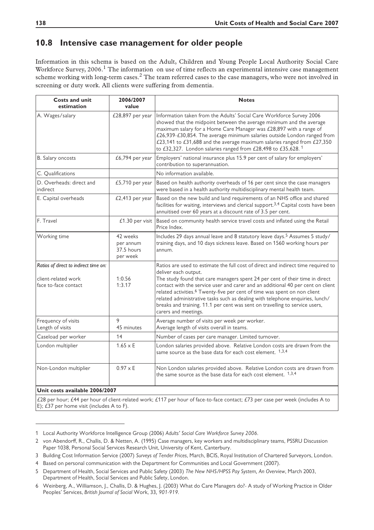#### **10.8 Intensive case management for older people**

Information in this schema is based on the Adult, Children and Young People Local Authority Social Care Workforce Survey, 2006.<sup>1</sup> The information on use of time reflects an experimental intensive case management scheme working with long-term cases.<sup>2</sup> The team referred cases to the case managers, who were not involved in screening or duty work. All clients were suffering from dementia.

| <b>Costs and unit</b><br>estimation                                                                                    | 2006/2007<br>value                              | <b>Notes</b>                                                                                                                                                                                                                                                                                                                                                                                                                                                                                                                                                  |
|------------------------------------------------------------------------------------------------------------------------|-------------------------------------------------|---------------------------------------------------------------------------------------------------------------------------------------------------------------------------------------------------------------------------------------------------------------------------------------------------------------------------------------------------------------------------------------------------------------------------------------------------------------------------------------------------------------------------------------------------------------|
| A. Wages/salary                                                                                                        | £28,897 per year                                | Information taken from the Adults' Social Care Workforce Survey 2006<br>showed that the midpoint between the average minimum and the average<br>maximum salary for a Home Care Manager was £28,897 with a range of<br>£26,939-£30,854. The average minimum salaries outside London ranged from<br>£23,141 to £31,688 and the average maximum salaries ranged from £27,350<br>to £32,327. London salaries ranged from £28,498 to £35,628.1                                                                                                                     |
| B. Salary oncosts                                                                                                      | £6,794 per year                                 | Employers' national insurance plus 15.9 per cent of salary for employers'<br>contribution to superannuation.                                                                                                                                                                                                                                                                                                                                                                                                                                                  |
| C. Qualifications                                                                                                      |                                                 | No information available.                                                                                                                                                                                                                                                                                                                                                                                                                                                                                                                                     |
| D. Overheads: direct and<br><i>indirect</i>                                                                            | £5,710 per year                                 | Based on health authority overheads of 16 per cent since the case managers<br>were based in a health authority multidisciplinary mental health team.                                                                                                                                                                                                                                                                                                                                                                                                          |
| E. Capital overheads                                                                                                   | £2,413 per year                                 | Based on the new build and land requirements of an NHS office and shared<br>facilities for waiting, interviews and clerical support. <sup>3,4</sup> Capital costs have been<br>annuitised over 60 years at a discount rate of 3.5 per cent.                                                                                                                                                                                                                                                                                                                   |
| F. Travel                                                                                                              | £1.30 per visit                                 | Based on community health service travel costs and inflated using the Retail<br>Price Index.                                                                                                                                                                                                                                                                                                                                                                                                                                                                  |
| Working time                                                                                                           | 42 weeks<br>per annum<br>37.5 hours<br>per week | Includes 29 days annual leave and 8 statutory leave days. <sup>5</sup> Assumes 5 study/<br>training days, and 10 days sickness leave. Based on 1560 working hours per<br>annum.                                                                                                                                                                                                                                                                                                                                                                               |
| Ratios of direct to indirect time on:<br>client-related work<br>face to-face contact                                   | 1:0.56<br>1:3.17                                | Ratios are used to estimate the full cost of direct and indirect time required to<br>deliver each output.<br>The study found that care managers spent 24 per cent of their time in direct<br>contact with the service user and carer and an additional 40 per cent on client<br>related activities. <sup>6</sup> Twenty-five per cent of time was spent on non client<br>related administrative tasks such as dealing with telephone enquiries, lunch/<br>breaks and training. 11.1 per cent was sent on travelling to service users,<br>carers and meetings. |
| Frequency of visits<br>Length of visits                                                                                | 9<br>45 minutes                                 | Average number of visits per week per worker.<br>Average length of visits overall in teams.                                                                                                                                                                                                                                                                                                                                                                                                                                                                   |
| Caseload per worker                                                                                                    | 14                                              | Number of cases per care manager. Limited turnover.                                                                                                                                                                                                                                                                                                                                                                                                                                                                                                           |
| London multiplier                                                                                                      | $1.65 \times E$                                 | London salaries provided above. Relative London costs are drawn from the<br>same source as the base data for each cost element. 1,3,4                                                                                                                                                                                                                                                                                                                                                                                                                         |
| Non-London multiplier                                                                                                  | $0.97 \times E$                                 | Non London salaries provided above. Relative London costs are drawn from<br>the same source as the base data for each cost element. $1,3,4$                                                                                                                                                                                                                                                                                                                                                                                                                   |
| Unit costs available 2006/2007                                                                                         |                                                 |                                                                                                                                                                                                                                                                                                                                                                                                                                                                                                                                                               |
| $\sim$ $\sim$ $\sim$ $\sim$<br>$\sim$ $\sim$ $\sim$ $\sim$ $\sim$<br>$\epsilon$ is the set of $\epsilon$<br>$\epsilon$ |                                                 |                                                                                                                                                                                                                                                                                                                                                                                                                                                                                                                                                               |

£28 per hour; £44 per hour of client-related work; £117 per hour of face-to-face contact; £73 per case per week (includes A to E); £37 per home visit (includes A to F).

<sup>1</sup> Local Authority Workforce Intelligence Group (2006) *Adults' Social Care Workforce Survey 2006*.

<sup>2</sup> von Abendorff, R., Challis, D. & Netten, A. (1995) Case managers, key workers and multidisciplinary teams, PSSRU Discussion Paper 1038, Personal Social Services Research Unit, University of Kent, Canterbury.

<sup>3</sup> Building Cost Information Service (2007) *Surveys of Tender Prices*, March, BCIS, Royal Institution of Chartered Surveyors, London.

<sup>4</sup> Based on personal communication with the Department for Communities and Local Government (2007).

<sup>5</sup> Department of Health, Social Services and Public Safety (2003) *The New NHS/HPSS Pay System, An Overview*, March 2003, Department of Health, Social Services and Public Safety, London.

<sup>6</sup> Weinberg, A., Williamson, J., Challis, D. & Hughes, J. (2003) What do Care Managers do?- A study of Working Practice in Older Peoples' Services, *British Journal of Social* Work, 33*, 901-919.*